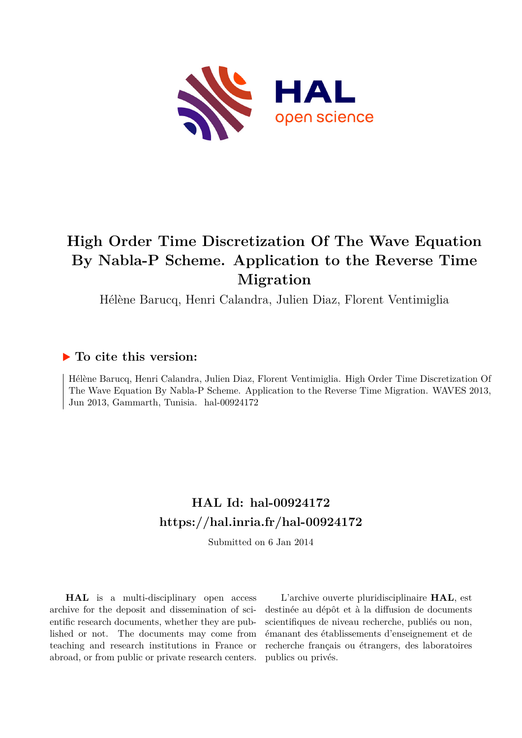

# **High Order Time Discretization Of The Wave Equation By Nabla-P Scheme. Application to the Reverse Time Migration**

Hélène Barucq, Henri Calandra, Julien Diaz, Florent Ventimiglia

# **To cite this version:**

Hélène Barucq, Henri Calandra, Julien Diaz, Florent Ventimiglia. High Order Time Discretization Of The Wave Equation By Nabla-P Scheme. Application to the Reverse Time Migration. WAVES 2013, Jun 2013, Gammarth, Tunisia. hal-00924172

# **HAL Id: hal-00924172 <https://hal.inria.fr/hal-00924172>**

Submitted on 6 Jan 2014

**HAL** is a multi-disciplinary open access archive for the deposit and dissemination of scientific research documents, whether they are published or not. The documents may come from teaching and research institutions in France or abroad, or from public or private research centers.

L'archive ouverte pluridisciplinaire **HAL**, est destinée au dépôt et à la diffusion de documents scientifiques de niveau recherche, publiés ou non, émanant des établissements d'enseignement et de recherche français ou étrangers, des laboratoires publics ou privés.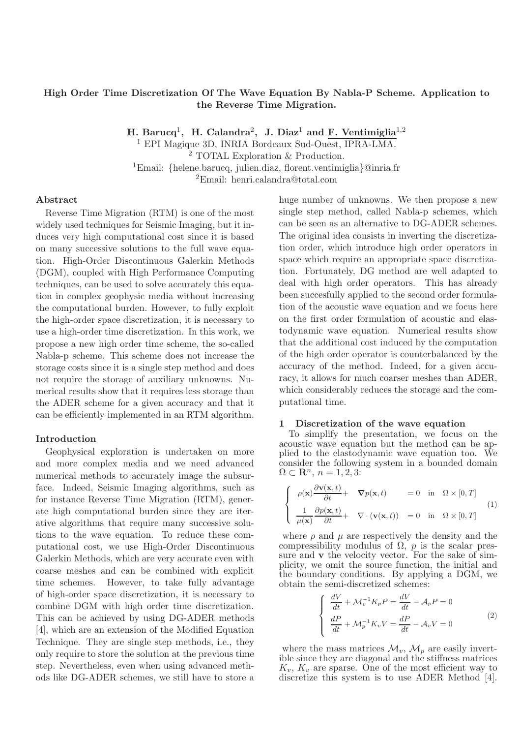## High Order Time Discretization Of The Wave Equation By Nabla-P Scheme. Application to the Reverse Time Migration.

H. Barucq<sup>1</sup>, H. Calandra<sup>2</sup>, J. Diaz<sup>1</sup> and F. Ventimiglia<sup>1,2</sup>

<sup>1</sup> EPI Magique 3D, INRIA Bordeaux Sud-Ouest, IPRA-LMA.

<sup>2</sup> TOTAL Exploration & Production.

<sup>1</sup>Email: {helene.barucq, julien.diaz, florent.ventimiglia}@inria.fr

<sup>2</sup>Email: henri.calandra@total.com

### Abstract

Reverse Time Migration (RTM) is one of the most widely used techniques for Seismic Imaging, but it induces very high computational cost since it is based on many successive solutions to the full wave equation. High-Order Discontinuous Galerkin Methods (DGM), coupled with High Performance Computing techniques, can be used to solve accurately this equation in complex geophysic media without increasing the computational burden. However, to fully exploit the high-order space discretization, it is necessary to use a high-order time discretization. In this work, we propose a new high order time scheme, the so-called Nabla-p scheme. This scheme does not increase the storage costs since it is a single step method and does not require the storage of auxiliary unknowns. Numerical results show that it requires less storage than the ADER scheme for a given accuracy and that it can be efficiently implemented in an RTM algorithm.

### Introduction

Geophysical exploration is undertaken on more and more complex media and we need advanced numerical methods to accurately image the subsurface. Indeed, Seismic Imaging algorithms, such as for instance Reverse Time Migration (RTM), generate high computational burden since they are iterative algorithms that require many successive solutions to the wave equation. To reduce these computational cost, we use High-Order Discontinuous Galerkin Methods, which are very accurate even with coarse meshes and can be combined with explicit time schemes. However, to take fully advantage of high-order space discretization, it is necessary to combine DGM with high order time discretization. This can be achieved by using DG-ADER methods [4], which are an extension of the Modified Equation Technique. They are single step methods, i.e., they only require to store the solution at the previous time step. Nevertheless, even when using advanced methods like DG-ADER schemes, we still have to store a huge number of unknowns. We then propose a new single step method, called Nabla-p schemes, which can be seen as an alternative to DG-ADER schemes. The original idea consists in inverting the discretization order, which introduce high order operators in space which require an appropriate space discretization. Fortunately, DG method are well adapted to deal with high order operators. This has already been succesfully applied to the second order formulation of the acoustic wave equation and we focus here on the first order formulation of acoustic and elastodynamic wave equation. Numerical results show that the additional cost induced by the computation of the high order operator is counterbalanced by the accuracy of the method. Indeed, for a given accuracy, it allows for much coarser meshes than ADER, which considerably reduces the storage and the computational time.

#### 1 Discretization of the wave equation

To simplify the presentation, we focus on the acoustic wave equation but the method can be applied to the elastodynamic wave equation too. We consider the following system in a bounded domain  $\Omega \subset \mathbf{R}^n$ ,  $n = 1, 2, 3$ :

$$
\begin{cases}\n\rho(\mathbf{x})\frac{\partial \mathbf{v}(\mathbf{x},t)}{\partial t} + \nabla p(\mathbf{x},t) = 0 \text{ in } \Omega \times [0,T] \\
\frac{1}{\mu(\mathbf{x})}\frac{\partial p(\mathbf{x},t)}{\partial t} + \nabla \cdot (\mathbf{v}(\mathbf{x},t)) = 0 \text{ in } \Omega \times [0,T]\n\end{cases}
$$
\n(1)

where  $\rho$  and  $\mu$  are respectively the density and the compressibility modulus of  $\Omega$ , *p* is the scalar pressure and **v** the velocity vector. For the sake of simplicity, we omit the source function, the initial and the boundary conditions. By applying a DGM, we obtain the semi-discretized schemes:

$$
\begin{cases}\n\frac{dV}{dt} + \mathcal{M}_v^{-1} K_p P = \frac{dV}{dt} - \mathcal{A}_p P = 0 \\
\frac{dP}{dt} + \mathcal{M}_p^{-1} K_v V = \frac{dP}{dt} - \mathcal{A}_v V = 0\n\end{cases}
$$
\n(2)

where the mass matrices  $\mathcal{M}_v$ ,  $\mathcal{M}_p$  are easily invertible since they are diagonal and the stiffness matrices  $K_v$ ,  $K_v$  are sparse. One of the most efficient way to discretize this system is to use ADER Method [4].